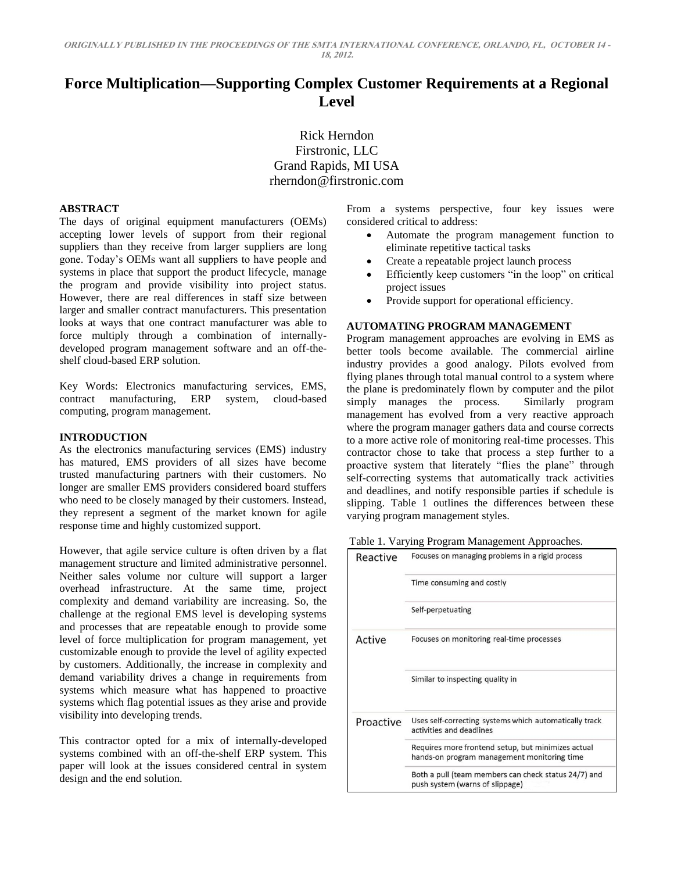# **Force Multiplication—Supporting Complex Customer Requirements at a Regional Level**

Rick Herndon Firstronic, LLC Grand Rapids, MI USA rherndon@firstronic.com

## **ABSTRACT**

The days of original equipment manufacturers (OEMs) accepting lower levels of support from their regional suppliers than they receive from larger suppliers are long gone. Today's OEMs want all suppliers to have people and systems in place that support the product lifecycle, manage the program and provide visibility into project status. However, there are real differences in staff size between larger and smaller contract manufacturers. This presentation looks at ways that one contract manufacturer was able to force multiply through a combination of internallydeveloped program management software and an off-theshelf cloud-based ERP solution.

Key Words: Electronics manufacturing services, EMS, contract manufacturing, ERP system, cloud-based computing, program management.

#### **INTRODUCTION**

As the electronics manufacturing services (EMS) industry has matured, EMS providers of all sizes have become trusted manufacturing partners with their customers. No longer are smaller EMS providers considered board stuffers who need to be closely managed by their customers. Instead, they represent a segment of the market known for agile response time and highly customized support.

However, that agile service culture is often driven by a flat management structure and limited administrative personnel. Neither sales volume nor culture will support a larger overhead infrastructure. At the same time, project complexity and demand variability are increasing. So, the challenge at the regional EMS level is developing systems and processes that are repeatable enough to provide some level of force multiplication for program management, yet customizable enough to provide the level of agility expected by customers. Additionally, the increase in complexity and demand variability drives a change in requirements from systems which measure what has happened to proactive systems which flag potential issues as they arise and provide visibility into developing trends.

This contractor opted for a mix of internally-developed systems combined with an off-the-shelf ERP system. This paper will look at the issues considered central in system design and the end solution.

From a systems perspective, four key issues were considered critical to address:

- Automate the program management function to eliminate repetitive tactical tasks
- Create a repeatable project launch process
- Efficiently keep customers "in the loop" on critical project issues
- Provide support for operational efficiency.

## **AUTOMATING PROGRAM MANAGEMENT**

Program management approaches are evolving in EMS as better tools become available. The commercial airline industry provides a good analogy. Pilots evolved from flying planes through total manual control to a system where the plane is predominately flown by computer and the pilot simply manages the process. Similarly program simply manages the process. management has evolved from a very reactive approach where the program manager gathers data and course corrects to a more active role of monitoring real-time processes. This contractor chose to take that process a step further to a proactive system that literately "flies the plane" through self-correcting systems that automatically track activities and deadlines, and notify responsible parties if schedule is slipping. Table 1 outlines the differences between these varying program management styles.

| Reactive  | Focuses on managing problems in a rigid process                                                   |  |  |  |  |  |  |  |
|-----------|---------------------------------------------------------------------------------------------------|--|--|--|--|--|--|--|
|           | Time consuming and costly                                                                         |  |  |  |  |  |  |  |
|           | Self-perpetuating                                                                                 |  |  |  |  |  |  |  |
| Active    | Focuses on monitoring real-time processes                                                         |  |  |  |  |  |  |  |
|           | Similar to inspecting quality in                                                                  |  |  |  |  |  |  |  |
| Proactive | Uses self-correcting systems which automatically track<br>activities and deadlines                |  |  |  |  |  |  |  |
|           | Requires more frontend setup, but minimizes actual<br>hands-on program management monitoring time |  |  |  |  |  |  |  |
|           | Both a pull (team members can check status 24/7) and<br>push system (warns of slippage)           |  |  |  |  |  |  |  |

### Table 1. Varying Program Management Approaches.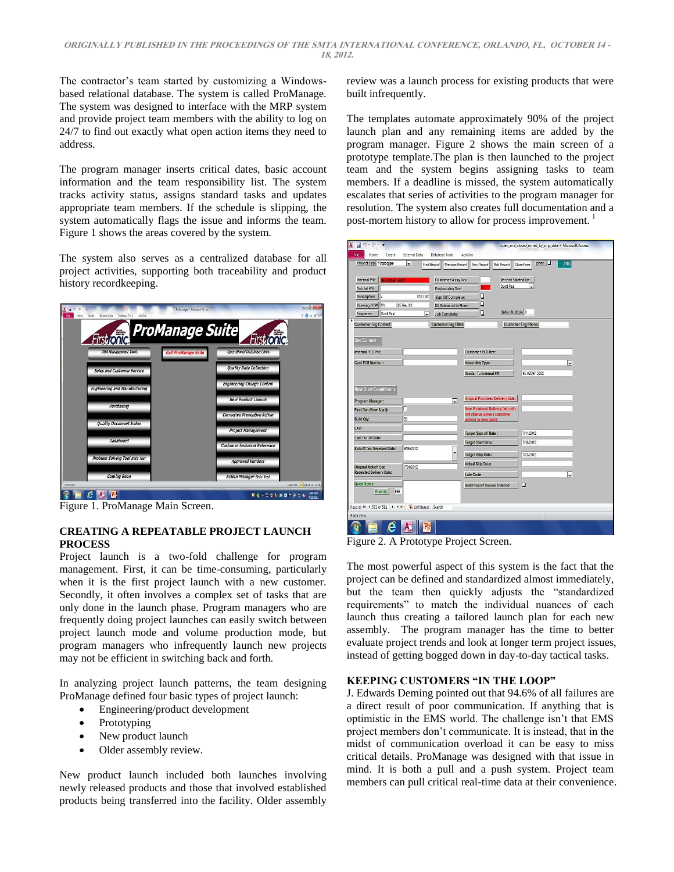The contractor's team started by customizing a Windowsbased relational database. The system is called ProManage. The system was designed to interface with the MRP system and provide project team members with the ability to log on 24/7 to find out exactly what open action items they need to address.

The program manager inserts critical dates, basic account information and the team responsibility list. The system tracks activity status, assigns standard tasks and updates appropriate team members. If the schedule is slipping, the system automatically flags the issue and informs the team. Figure 1 shows the areas covered by the system.

The system also serves as a centralized database for all project activities, supporting both traceability and product history recordkeeping.



Figure 1. ProManage Main Screen.

# **CREATING A REPEATABLE PROJECT LAUNCH PROCESS**

Project launch is a two-fold challenge for program management. First, it can be time-consuming, particularly when it is the first project launch with a new customer. Secondly, it often involves a complex set of tasks that are only done in the launch phase. Program managers who are frequently doing project launches can easily switch between project launch mode and volume production mode, but program managers who infrequently launch new projects may not be efficient in switching back and forth.

In analyzing project launch patterns, the team designing ProManage defined four basic types of project launch:

- Engineering/product development
- Prototyping
- New product launch
- Older assembly review.

New product launch included both launches involving newly released products and those that involved established products being transferred into the facility. Older assembly

review was a launch process for existing products that were built infrequently.

The templates automate approximately 90% of the project launch plan and any remaining items are added by the program manager. Figure 2 shows the main screen of a prototype template.The plan is then launched to the project team and the system begins assigning tasks to team members. If a deadline is missed, the system automatically escalates that series of activities to the program manager for resolution. The system also creates full documentation and a post-mortem history to allow for process improvement.<sup>1</sup>

| H<br>明天保天堂                              |                     |                                                                     |                                         |                                  | open_and_closed_sorted_by_ship_date - Microsoft Access |      |
|-----------------------------------------|---------------------|---------------------------------------------------------------------|-----------------------------------------|----------------------------------|--------------------------------------------------------|------|
| File<br>Home<br>Create                  | External Data       | Database Tools                                                      | Add-Ins                                 |                                  |                                                        |      |
| Project Typ Prototype                   | ۳                   | Find Record<br><b>Previous Record</b>                               | Next Record                             | Add Record                       | print  <br>Close Form                                  | 3180 |
|                                         |                     |                                                                     |                                         |                                  |                                                        |      |
| Internal P/N:                           |                     | <b>Customer Assy Rev.</b>                                           |                                         | Record Started By:<br>Scott Paul |                                                        |      |
| Sub Int P/N:                            |                     | <b>Engineering Rev:</b>                                             |                                         |                                  |                                                        |      |
| <b>Description</b><br>j,                | <b>X351 MC</b>      | Sign Off Complete:                                                  | o                                       |                                  |                                                        |      |
| Drawing / CPM W.                        | 385 Rev X2          | Kit Released to Floor:                                              | о                                       | Order Multiple                   |                                                        |      |
| Engineer:<br>Scott Paul                 | $\bullet$           | Job Complete:                                                       | $\Box$                                  |                                  |                                                        |      |
| <b>Customer Eng Contact:</b>            |                     | <b>Customer Eng EMail:</b>                                          |                                         |                                  | <b>Customer Eng Phone:</b>                             |      |
| <b>Doc Control</b><br>Internal PCB P/N: |                     |                                                                     | Customer PCB Rev:                       |                                  |                                                        |      |
| <b>Cust PCB Number:</b>                 |                     |                                                                     | Assembly Type:                          |                                  |                                                        | ٠    |
|                                         |                     |                                                                     | Similar To Internal P/N                 |                                  | 95-02597-5002                                          |      |
|                                         |                     |                                                                     |                                         |                                  |                                                        |      |
| <b>New Start Coordinator</b>            |                     |                                                                     |                                         |                                  |                                                        |      |
|                                         |                     |                                                                     | <b>Original Promised Delivery Date:</b> |                                  |                                                        |      |
| Program Manager:                        | г                   | v                                                                   |                                         |                                  |                                                        |      |
| First Run (New Start):                  |                     | <b>New Promised Delivery Date (do</b><br>not change unless customer |                                         |                                  |                                                        |      |
| <b>Build Qty:</b>                       | 50                  |                                                                     | agrees to new date):                    |                                  |                                                        |      |
| EAU:                                    |                     |                                                                     | <b>Target Sign off Date:</b>            |                                  | 7/11/2012                                              |      |
| <b>Last Part IN Date:</b>               |                     |                                                                     | <b>Target Start Date:</b>               |                                  | 7/16/2012                                              |      |
| <b>Kickoff Doc Received Date:</b>       | 6/26/2012           |                                                                     |                                         |                                  |                                                        |      |
|                                         |                     |                                                                     |                                         | <b>Target Ship Date:</b>         |                                                        |      |
| <b>Original Kickoff Doc</b>             | 7/24/2012           |                                                                     | <b>Actual Ship Date:</b>                |                                  |                                                        |      |
| <b>Reqested Delivery Date:</b>          |                     |                                                                     | Late Code                               |                                  |                                                        | ⊋    |
| Quick Notes                             |                     |                                                                     |                                         |                                  | D                                                      |      |
| Priority<br>999                         |                     |                                                                     | <b>Build Report Issues Entered</b>      |                                  |                                                        |      |
| Record: M 4 572 of 581 > M Hz           | V Unfiltered Search |                                                                     |                                         |                                  |                                                        |      |
| Form View                               |                     |                                                                     |                                         |                                  |                                                        |      |
|                                         |                     |                                                                     |                                         |                                  |                                                        |      |

Figure 2. A Prototype Project Screen.

The most powerful aspect of this system is the fact that the project can be defined and standardized almost immediately, but the team then quickly adjusts the "standardized requirements" to match the individual nuances of each launch thus creating a tailored launch plan for each new assembly. The program manager has the time to better evaluate project trends and look at longer term project issues, instead of getting bogged down in day-to-day tactical tasks.

# **KEEPING CUSTOMERS "IN THE LOOP"**

J. Edwards Deming pointed out that 94.6% of all failures are a direct result of poor communication. If anything that is optimistic in the EMS world. The challenge isn't that EMS project members don't communicate. It is instead, that in the midst of communication overload it can be easy to miss critical details. ProManage was designed with that issue in mind. It is both a pull and a push system. Project team members can pull critical real-time data at their convenience.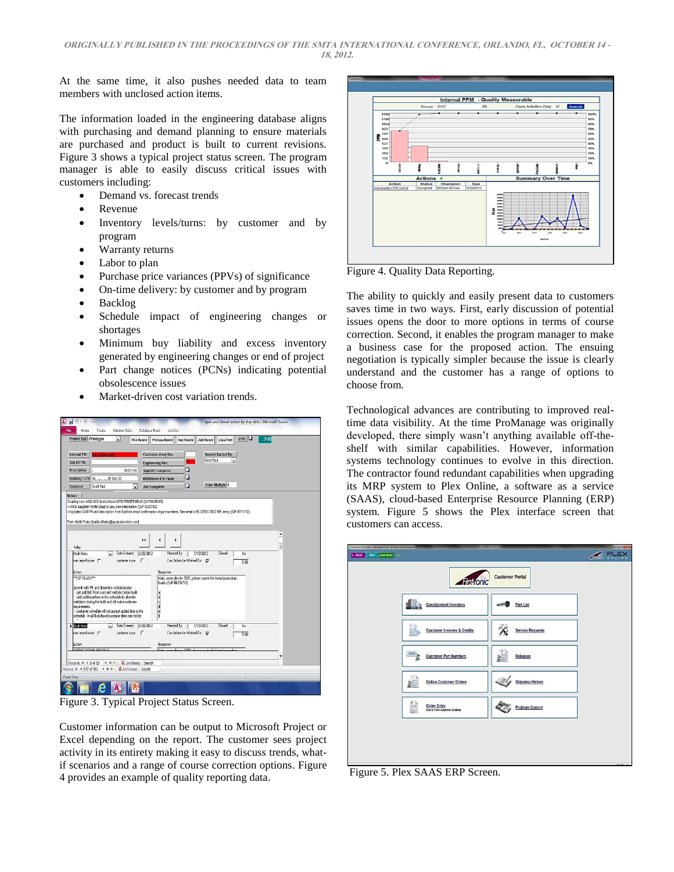At the same time, it also pushes needed data to team members with unclosed action items.

The information loaded in the engineering database aligns with purchasing and demand planning to ensure materials are purchased and product is built to current revisions. Figure 3 shows a typical project status screen. The program manager is able to easily discuss critical issues with customers including:

- Demand vs. forecast trends
- Revenue
- Inventory levels/turns: by customer and by program
- Warranty returns
- Labor to plan
- Purchase price variances (PPVs) of significance
- On-time delivery: by customer and by program
- Backlog
- Schedule impact of engineering changes or shortages
- Minimum buy liability and excess inventory generated by engineering changes or end of project
- Part change notices (PCNs) indicating potential obsolescence issues
- Market-driven cost variation trends.



Figure 3. Typical Project Status Screen.

Customer information can be output to Microsoft Project or Excel depending on the report. The customer sees project activity in its entirety making it easy to discuss trends, whatif scenarios and a range of course correction options. Figure 4 provides an example of quality reporting data.



Figure 4. Quality Data Reporting.

The ability to quickly and easily present data to customers saves time in two ways. First, early discussion of potential issues opens the door to more options in terms of course correction. Second, it enables the program manager to make a business case for the proposed action. The ensuing negotiation is typically simpler because the issue is clearly understand and the customer has a range of options to choose from.

Technological advances are contributing to improved realtime data visibility. At the time ProManage was originally developed, there simply wasn't anything available off-theshelf with similar capabilities. However, information systems technology continues to evolve in this direction. The contractor found redundant capabilities when upgrading its MRP system to Plex Online, a software as a service (SAAS), cloud-based Enterprise Resource Planning (ERP) system. Figure 5 shows the Plex interface screen that customers can access.

| - Ferrone) Res Deline - Alexander, David - Windows Internet Explorer |                             | <b>RODING</b> |
|----------------------------------------------------------------------|-----------------------------|---------------|
| Wiki Add Node<br>4 Back<br>$^{10}$                                   | <b>ARCHITEX</b>             |               |
| <b>Histronic</b>                                                     | <b>Customer Portal</b>      |               |
| E<br><b>Consignment Inventory</b>                                    | Part List                   |               |
| 司<br><b>Customer Invoices &amp; Credits</b>                          | <b>Service Requests</b>     |               |
| 123623<br><b>Customer Part Numbers</b>                               | $\equiv$<br><b>Releases</b> |               |
| $\equiv 1$<br><b>Online Customer Orders</b>                          | <b>Shipping History</b>     |               |
| 댪<br><b>Order Entry</b><br><b>Grid &amp; Form Customer Enabled</b>   | <b>Problem Control</b>      |               |
|                                                                      |                             |               |

Figure 5. Plex SAAS ERP Screen.